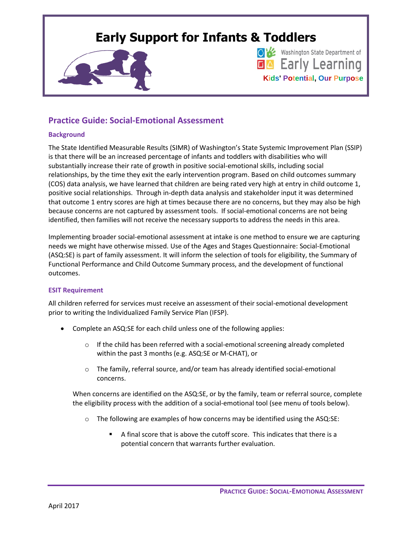## **Early Support for Infants & Toddlers**



Washington State Department of **EA** Early Learning **Kids' Potential, Our Purpose**

### **Practice Guide: Social-Emotional Assessment**

#### **Background**

The State Identified Measurable Results (SIMR) of Washington's State Systemic Improvement Plan (SSIP) is that there will be an increased percentage of infants and toddlers with disabilities who will substantially increase their rate of growth in positive social-emotional skills, including social relationships, by the time they exit the early intervention program. Based on child outcomes summary (COS) data analysis, we have learned that children are being rated very high at entry in child outcome 1, positive social relationships. Through in-depth data analysis and stakeholder input it was determined that outcome 1 entry scores are high at times because there are no concerns, but they may also be high because concerns are not captured by assessment tools. If social-emotional concerns are not being identified, then families will not receive the necessary supports to address the needs in this area.

Implementing broader social-emotional assessment at intake is one method to ensure we are capturing needs we might have otherwise missed. Use of the Ages and Stages Questionnaire: Social-Emotional (ASQ:SE) is part of family assessment. It will inform the selection of tools for eligibility, the Summary of Functional Performance and Child Outcome Summary process, and the development of functional outcomes.

#### **ESIT Requirement**

All children referred for services must receive an assessment of their social-emotional development prior to writing the Individualized Family Service Plan (IFSP).

- Complete an ASQ:SE for each child unless one of the following applies:
	- $\circ$  If the child has been referred with a social-emotional screening already completed within the past 3 months (e.g. ASQ:SE or M-CHAT), or
	- $\circ$  The family, referral source, and/or team has already identified social-emotional concerns.

When concerns are identified on the ASQ:SE, or by the family, team or referral source, complete the eligibility process with the addition of a social-emotional tool (see menu of tools below).

- $\circ$  The following are examples of how concerns may be identified using the ASQ:SE:
	- A final score that is above the cutoff score. This indicates that there is a potential concern that warrants further evaluation.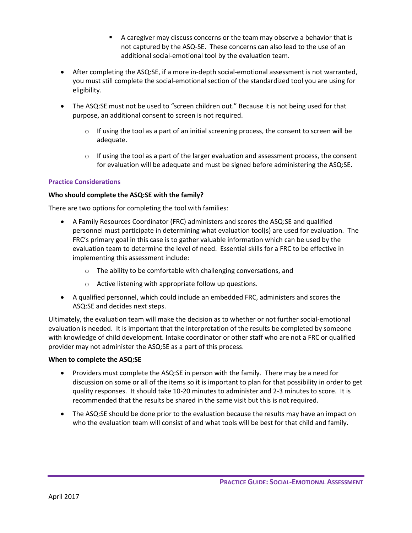- A caregiver may discuss concerns or the team may observe a behavior that is not captured by the ASQ-SE. These concerns can also lead to the use of an additional social-emotional tool by the evaluation team.
- After completing the ASQ:SE, if a more in-depth social-emotional assessment is not warranted, you must still complete the social-emotional section of the standardized tool you are using for eligibility.
- The ASQ:SE must not be used to "screen children out." Because it is not being used for that purpose, an additional consent to screen is not required.
	- $\circ$  If using the tool as a part of an initial screening process, the consent to screen will be adequate.
	- $\circ$  If using the tool as a part of the larger evaluation and assessment process, the consent for evaluation will be adequate and must be signed before administering the ASQ:SE.

#### **Practice Considerations**

#### **Who should complete the ASQ:SE with the family?**

There are two options for completing the tool with families:

- A Family Resources Coordinator (FRC) administers and scores the ASQ:SE and qualified personnel must participate in determining what evaluation tool(s) are used for evaluation. The FRC's primary goal in this case is to gather valuable information which can be used by the evaluation team to determine the level of need. Essential skills for a FRC to be effective in implementing this assessment include:
	- o The ability to be comfortable with challenging conversations, and
	- o Active listening with appropriate follow up questions.
- A qualified personnel, which could include an embedded FRC, administers and scores the ASQ:SE and decides next steps.

Ultimately, the evaluation team will make the decision as to whether or not further social-emotional evaluation is needed. It is important that the interpretation of the results be completed by someone with knowledge of child development. Intake coordinator or other staff who are not a FRC or qualified provider may not administer the ASQ:SE as a part of this process.

#### **When to complete the ASQ:SE**

- Providers must complete the ASQ:SE in person with the family. There may be a need for discussion on some or all of the items so it is important to plan for that possibility in order to get quality responses. It should take 10-20 minutes to administer and 2-3 minutes to score. It is recommended that the results be shared in the same visit but this is not required.
- The ASQ:SE should be done prior to the evaluation because the results may have an impact on who the evaluation team will consist of and what tools will be best for that child and family.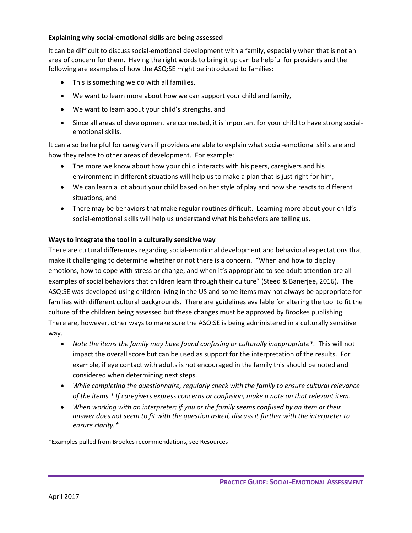#### **Explaining why social-emotional skills are being assessed**

It can be difficult to discuss social-emotional development with a family, especially when that is not an area of concern for them. Having the right words to bring it up can be helpful for providers and the following are examples of how the ASQ:SE might be introduced to families:

- This is something we do with all families,
- We want to learn more about how we can support your child and family,
- We want to learn about your child's strengths, and
- Since all areas of development are connected, it is important for your child to have strong socialemotional skills.

It can also be helpful for caregivers if providers are able to explain what social-emotional skills are and how they relate to other areas of development. For example:

- The more we know about how your child interacts with his peers, caregivers and his environment in different situations will help us to make a plan that is just right for him,
- We can learn a lot about your child based on her style of play and how she reacts to different situations, and
- There may be behaviors that make regular routines difficult. Learning more about your child's social-emotional skills will help us understand what his behaviors are telling us.

#### **Ways to integrate the tool in a culturally sensitive way**

There are cultural differences regarding social-emotional development and behavioral expectations that make it challenging to determine whether or not there is a concern. "When and how to display emotions, how to cope with stress or change, and when it's appropriate to see adult attention are all examples of social behaviors that children learn through their culture" (Steed & Banerjee, 2016). The ASQ:SE was developed using children living in the US and some items may not always be appropriate for families with different cultural backgrounds. There are guidelines available for altering the tool to fit the culture of the children being assessed but these changes must be approved by Brookes publishing. There are, however, other ways to make sure the ASQ:SE is being administered in a culturally sensitive way.

- *Note the items the family may have found confusing or culturally inappropriate\*.* This will not impact the overall score but can be used as support for the interpretation of the results. For example, if eye contact with adults is not encouraged in the family this should be noted and considered when determining next steps.
- *While completing the questionnaire, regularly check with the family to ensure cultural relevance of the items.\* If caregivers express concerns or confusion, make a note on that relevant item.*
- *When working with an interpreter; if you or the family seems confused by an item or their answer does not seem to fit with the question asked, discuss it further with the interpreter to ensure clarity.\**

\*Examples pulled from Brookes recommendations, see Resources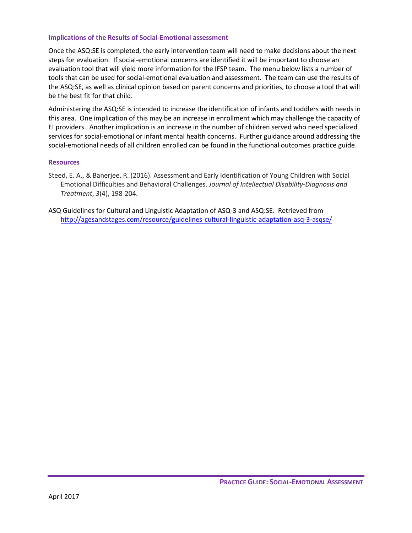#### **Implications of the Results of Social-Emotional assessment**

Once the ASQ:SE is completed, the early intervention team will need to make decisions about the next steps for evaluation. If social-emotional concerns are identified it will be important to choose an evaluation tool that will yield more information for the IFSP team. The menu below lists a number of tools that can be used for social-emotional evaluation and assessment. The team can use the results of the ASQ:SE, as well as clinical opinion based on parent concerns and priorities, to choose a tool that will be the best fit for that child.

Administering the ASQ:SE is intended to increase the identification of infants and toddlers with needs in this area. One implication of this may be an increase in enrollment which may challenge the capacity of EI providers. Another implication is an increase in the number of children served who need specialized services for social-emotional or infant mental health concerns. Further guidance around addressing the social-emotional needs of all children enrolled can be found in the functional outcomes practice guide.

#### **Resources**

- Steed, E. A., & Banerjee, R. (2016). Assessment and Early Identification of Young Children with Social Emotional Difficulties and Behavioral Challenges. *Journal of Intellectual Disability-Diagnosis and Treatment*, *3*(4), 198-204.
- ASQ Guidelines for Cultural and Linguistic Adaptation of ASQ-3 and ASQ:SE. Retrieved from <http://agesandstages.com/resource/guidelines-cultural-linguistic-adaptation-asq-3-asqse/>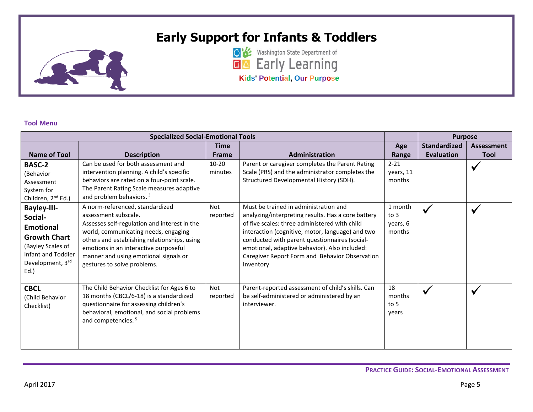# **Early Support for Infants & Toddlers**



**OK** Washington State Department of **Kids' Potential, Our Purpose**

#### **Tool Menu**

| <b>Specialized Social-Emotional Tools</b>                                                                                                          |                                                                                                                                                                                                                                                                                                                  |                        |                                                                                                                                                                                                                                                                                                                                                                   |                                       | <b>Purpose</b>                           |                                  |
|----------------------------------------------------------------------------------------------------------------------------------------------------|------------------------------------------------------------------------------------------------------------------------------------------------------------------------------------------------------------------------------------------------------------------------------------------------------------------|------------------------|-------------------------------------------------------------------------------------------------------------------------------------------------------------------------------------------------------------------------------------------------------------------------------------------------------------------------------------------------------------------|---------------------------------------|------------------------------------------|----------------------------------|
| <b>Name of Tool</b>                                                                                                                                | <b>Description</b>                                                                                                                                                                                                                                                                                               | Time<br><b>Frame</b>   | Administration                                                                                                                                                                                                                                                                                                                                                    | Age<br>Range                          | <b>Standardized</b><br><b>Evaluation</b> | <b>Assessment</b><br><b>Tool</b> |
| <b>BASC-2</b><br>(Behavior<br>Assessment<br>System for<br>Children, 2 <sup>nd</sup> Ed.)                                                           | Can be used for both assessment and<br>intervention planning. A child's specific<br>behaviors are rated on a four-point scale.<br>The Parent Rating Scale measures adaptive<br>and problem behaviors. <sup>3</sup>                                                                                               | $10 - 20$<br>minutes   | Parent or caregiver completes the Parent Rating<br>Scale (PRS) and the administrator completes the<br>Structured Developmental History (SDH).                                                                                                                                                                                                                     | $2 - 21$<br>years, 11<br>months       |                                          | $\boldsymbol{\mathcal{N}}$       |
| <b>Bayley-III-</b><br>Social-<br><b>Emotional</b><br><b>Growth Chart</b><br>(Bayley Scales of<br>Infant and Toddler<br>Development, 3rd<br>$Ed.$ ) | A norm-referenced, standardized<br>assessment subscale.<br>Assesses self-regulation and interest in the<br>world, communicating needs, engaging<br>others and establishing relationships, using<br>emotions in an interactive purposeful<br>manner and using emotional signals or<br>gestures to solve problems. | <b>Not</b><br>reported | Must be trained in administration and<br>analyzing/interpreting results. Has a core battery<br>of five scales: three administered with child<br>interaction (cognitive, motor, language) and two<br>conducted with parent questionnaires (social-<br>emotional, adaptive behavior). Also included:<br>Caregiver Report Form and Behavior Observation<br>Inventory | 1 month<br>to 3<br>years, 6<br>months | $\checkmark$                             | $\overline{\mathbf{v}}$          |
| <b>CBCL</b><br>(Child Behavior<br>Checklist)                                                                                                       | The Child Behavior Checklist for Ages 6 to<br>18 months (CBCL/6-18) is a standardized<br>questionnaire for assessing children's<br>behavioral, emotional, and social problems<br>and competencies. <sup>5</sup>                                                                                                  | <b>Not</b><br>reported | Parent-reported assessment of child's skills. Can<br>be self-administered or administered by an<br>interviewer.                                                                                                                                                                                                                                                   | 18<br>months<br>to 5<br>years         | $\checkmark$                             | $\overline{\mathbf{v}}$          |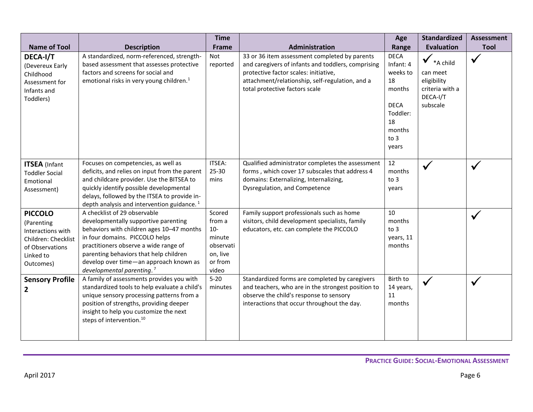| <b>Name of Tool</b>                                                                                                   | <b>Description</b>                                                                                                                                                                                                                                                                                                        | <b>Time</b><br><b>Frame</b>                                                      | Administration                                                                                                                                                                                                                    | Age<br>Range                                                                                                     | <b>Standardized</b><br><b>Evaluation</b>                                                            | <b>Assessment</b><br><b>Tool</b> |
|-----------------------------------------------------------------------------------------------------------------------|---------------------------------------------------------------------------------------------------------------------------------------------------------------------------------------------------------------------------------------------------------------------------------------------------------------------------|----------------------------------------------------------------------------------|-----------------------------------------------------------------------------------------------------------------------------------------------------------------------------------------------------------------------------------|------------------------------------------------------------------------------------------------------------------|-----------------------------------------------------------------------------------------------------|----------------------------------|
| DECA-I/T<br>(Devereux Early<br>Childhood<br>Assessment for<br>Infants and<br>Toddlers)                                | A standardized, norm-referenced, strength-<br>based assessment that assesses protective<br>factors and screens for social and<br>emotional risks in very young children. <sup>1</sup>                                                                                                                                     | Not<br>reported                                                                  | 33 or 36 item assessment completed by parents<br>and caregivers of infants and toddlers, comprising<br>protective factor scales: initiative,<br>attachment/relationship, self-regulation, and a<br>total protective factors scale | <b>DECA</b><br>Infant: 4<br>weeks to<br>18<br>months<br><b>DECA</b><br>Toddler:<br>18<br>months<br>to 3<br>years | $\blacktriangledown$ *A child<br>can meet<br>eligibility<br>criteria with a<br>DECA-I/T<br>subscale | $\checkmark$                     |
| <b>ITSEA</b> (Infant<br><b>Toddler Social</b><br>Emotional<br>Assessment)                                             | Focuses on competencies, as well as<br>deficits, and relies on input from the parent<br>and childcare provider. Use the BITSEA to<br>quickly identify possible developmental<br>delays, followed by the ITSEA to provide in-<br>depth analysis and intervention guidance. <sup>1</sup>                                    | ITSEA:<br>25-30<br>mins                                                          | Qualified administrator completes the assessment<br>forms, which cover 17 subscales that address 4<br>domains: Externalizing, Internalizing,<br>Dysregulation, and Competence                                                     | 12<br>months<br>to 3<br>years                                                                                    |                                                                                                     |                                  |
| <b>PICCOLO</b><br>(Parenting<br>Interactions with<br>Children: Checklist<br>of Observations<br>Linked to<br>Outcomes) | A checklist of 29 observable<br>developmentally supportive parenting<br>behaviors with children ages 10-47 months<br>in four domains. PICCOLO helps<br>practitioners observe a wide range of<br>parenting behaviors that help children<br>develop over time-an approach known as<br>developmental parenting. <sup>7</sup> | Scored<br>from a<br>$10-$<br>minute<br>observati<br>on, live<br>or from<br>video | Family support professionals such as home<br>visitors, child development specialists, family<br>educators, etc. can complete the PICCOLO                                                                                          | 10<br>months<br>to 3<br>years, 11<br>months                                                                      |                                                                                                     |                                  |
| <b>Sensory Profile</b><br>$\mathbf{2}$                                                                                | A family of assessments provides you with<br>standardized tools to help evaluate a child's<br>unique sensory processing patterns from a<br>position of strengths, providing deeper<br>insight to help you customize the next<br>steps of intervention. <sup>10</sup>                                                      | $5 - 20$<br>minutes                                                              | Standardized forms are completed by caregivers<br>and teachers, who are in the strongest position to<br>observe the child's response to sensory<br>interactions that occur throughout the day.                                    | Birth to<br>14 years,<br>11<br>months                                                                            |                                                                                                     |                                  |